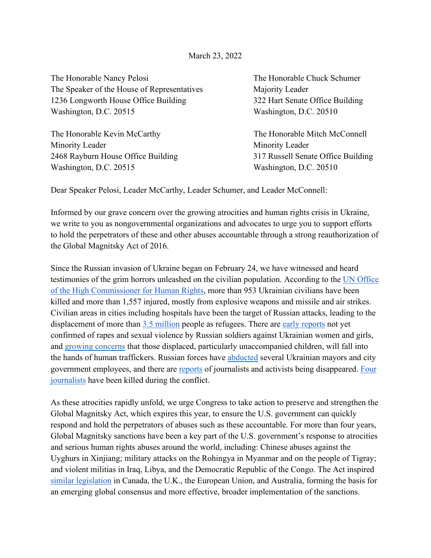March 23, 2022

The Honorable Nancy Pelosi The Honorable Chuck Schumer The Speaker of the House of Representatives Majority Leader 1236 Longworth House Office Building 322 Hart Senate Office Building Washington, D.C. 20515 Washington, D.C. 20510

The Honorable Kevin McCarthy The Honorable Mitch McConnell Minority Leader Minority Leader 2468 Rayburn House Office Building 317 Russell Senate Office Building Washington, D.C. 20515 Washington, D.C. 20510

Dear Speaker Pelosi, Leader McCarthy, Leader Schumer, and Leader McConnell:

Informed by our grave concern over the growing atrocities and human rights crisis in Ukraine, we write to you as nongovernmental organizations and advocates to urge you to support efforts to hold the perpetrators of these and other abuses accountable through a strong reauthorization of the Global Magnitsky Act of 2016.

Since the Russian invasion of Ukraine began on February 24, we have witnessed and heard testimonies of the grim horrors unleashed on the civilian population. According to the [UN Office](https://reliefweb.int/report/ukraine/ukraine-civilian-casualties-2400-21-march-2022-enruuk)  [of the High Commissioner for Human Rights,](https://reliefweb.int/report/ukraine/ukraine-civilian-casualties-2400-21-march-2022-enruuk) more than 953 Ukrainian civilians have been killed and more than 1,557 injured, mostly from explosive weapons and missile and air strikes. Civilian areas in cities including hospitals have been the target of Russian attacks, leading to the displacement of more than [3.5 million](https://data2.unhcr.org/en/situations/ukraine) people as refugees. There are [early reports](https://www.reuters.com/world/foreign-minister-accuses-russian-soldiers-rape-ukrainian-cities-2022-03-04/) not yet confirmed of rapes and sexual violence by Russian soldiers against Ukrainian women and girls, and [growing concerns](https://www.axios.com/human-trafficking-ukraine-refugees-risk-d4827a30-48e6-443c-abe7-59553b0b26cd.html) that those displaced, particularly unaccompanied children, will fall into the hands of human traffickers. Russian forces hav[e](https://thehill.com/policy/international/598485-ukraine-says-arrested-melitopol-mayor-freed-in-special-operation) [abducted](https://thehill.com/policy/international/598485-ukraine-says-arrested-melitopol-mayor-freed-in-special-operation) several Ukrainian mayors and city government employees, and there are [reports](https://www.rferl.org/a/ukraine-invasion-kherson-disappearances-russia-kidnapping/31756418.html) of journalists and activists being disappeared. [Four](https://cpj.org/data/killed/europe/ukraine/?status=Killed&motiveConfirmed%5B%5D=Confirmed&type%5B%5D=Journalist&cc_fips%5B%5D=UP&start_year=1992&end_year=2022&group_by=location)  [journalists](https://cpj.org/data/killed/europe/ukraine/?status=Killed&motiveConfirmed%5B%5D=Confirmed&type%5B%5D=Journalist&cc_fips%5B%5D=UP&start_year=1992&end_year=2022&group_by=location) have been killed during the conflict.

As these atrocities rapidly unfold, we urge Congress to take action to preserve and strengthen the Global Magnitsky Act, which expires this year, to ensure the U.S. government can quickly respond and hold the perpetrators of abuses such as these accountable. For more than four years, Global Magnitsky sanctions have been a key part of the U.S. government's response to atrocities and serious human rights abuses around the world, including: Chinese abuses against the Uyghurs in Xinjiang; military attacks on the Rohingya in Myanmar and on the people of Tigray; and violent militias in Iraq, Libya, and the Democratic Republic of the Congo. The Act inspired [similar legislation](https://www.europarl.europa.eu/thinktank/en/document/EPRS_BRI(2021)698791) in Canada, the U.K., the European Union, and Australia, forming the basis for an emerging global consensus and more effective, broader implementation of the sanctions.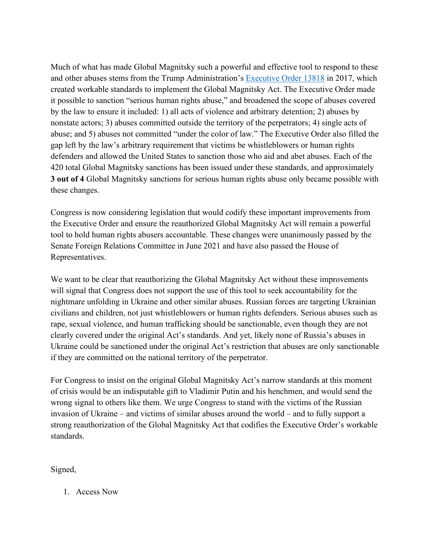Much of what has made Global Magnitsky such a powerful and effective tool to respond to these and other abuses stems from the Trump Administration's [Executive Order 13818](https://www.humanrightsfirst.org/sites/default/files/eo-13818-glomag.pdf) in 2017, which created workable standards to implement the Global Magnitsky Act. The Executive Order made it possible to sanction "serious human rights abuse," and broadened the scope of abuses covered by the law to ensure it included: 1) all acts of violence and arbitrary detention; 2) abuses by nonstate actors; 3) abuses committed outside the territory of the perpetrators; 4) single acts of abuse; and 5) abuses not committed "under the color of law." The Executive Order also filled the gap left by the law's arbitrary requirement that victims be whistleblowers or human rights defenders and allowed the United States to sanction those who aid and abet abuses. Each of the 420 total Global Magnitsky sanctions has been issued under these standards, and approximately **3 out of 4** Global Magnitsky sanctions for serious human rights abuse only became possible with these changes.

Congress is now considering legislation that would codify these important improvements from the Executive Order and ensure the reauthorized Global Magnitsky Act will remain a powerful tool to hold human rights abusers accountable. These changes were unanimously passed by the Senate Foreign Relations Committee in June 2021 and have also passed the House of Representatives.

We want to be clear that reauthorizing the Global Magnitsky Act without these improvements will signal that Congress does not support the use of this tool to seek accountability for the nightmare unfolding in Ukraine and other similar abuses. Russian forces are targeting Ukrainian civilians and children, not just whistleblowers or human rights defenders. Serious abuses such as rape, sexual violence, and human trafficking should be sanctionable, even though they are not clearly covered under the original Act's standards. And yet, likely none of Russia's abuses in Ukraine could be sanctioned under the original Act's restriction that abuses are only sanctionable if they are committed on the national territory of the perpetrator.

For Congress to insist on the original Global Magnitsky Act's narrow standards at this moment of crisis would be an indisputable gift to Vladimir Putin and his henchmen, and would send the wrong signal to others like them. We urge Congress to stand with the victims of the Russian invasion of Ukraine – and victims of similar abuses around the world – and to fully support a strong reauthorization of the Global Magnitsky Act that codifies the Executive Order's workable standards.

Signed,

1. Access Now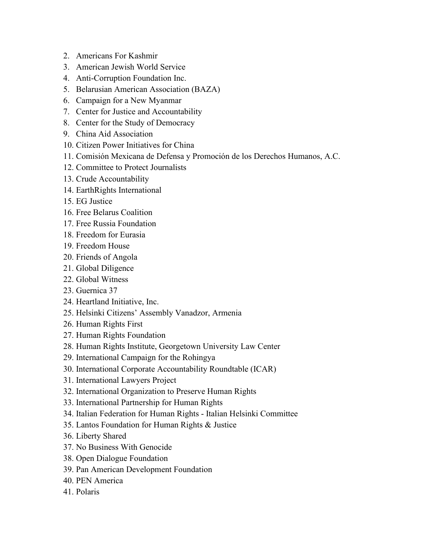- 2. Americans For Kashmir
- 3. American Jewish World Service
- 4. Anti-Corruption Foundation Inc.
- 5. Belarusian American Association (BAZA)
- 6. Campaign for a New Myanmar
- 7. Center for Justice and Accountability
- 8. Center for the Study of Democracy
- 9. China Aid Association
- 10. Citizen Power Initiatives for China
- 11. Comisión Mexicana de Defensa y Promoción de los Derechos Humanos, A.C.
- 12. Committee to Protect Journalists
- 13. Crude Accountability
- 14. EarthRights International
- 15. EG Justice
- 16. Free Belarus Coalition
- 17. Free Russia Foundation
- 18. Freedom for Eurasia
- 19. Freedom House
- 20. Friends of Angola
- 21. Global Diligence
- 22. Global Witness
- 23. Guernica 37
- 24. Heartland Initiative, Inc.
- 25. Helsinki Citizens' Assembly Vanadzor, Armenia
- 26. Human Rights First
- 27. Human Rights Foundation
- 28. Human Rights Institute, Georgetown University Law Center
- 29. International Campaign for the Rohingya
- 30. International Corporate Accountability Roundtable (ICAR)
- 31. International Lawyers Project
- 32. International Organization to Preserve Human Rights
- 33. International Partnership for Human Rights
- 34. Italian Federation for Human Rights Italian Helsinki Committee
- 35. Lantos Foundation for Human Rights & Justice
- 36. Liberty Shared
- 37. No Business With Genocide
- 38. Open Dialogue Foundation
- 39. Pan American Development Foundation
- 40. PEN America
- 41. Polaris